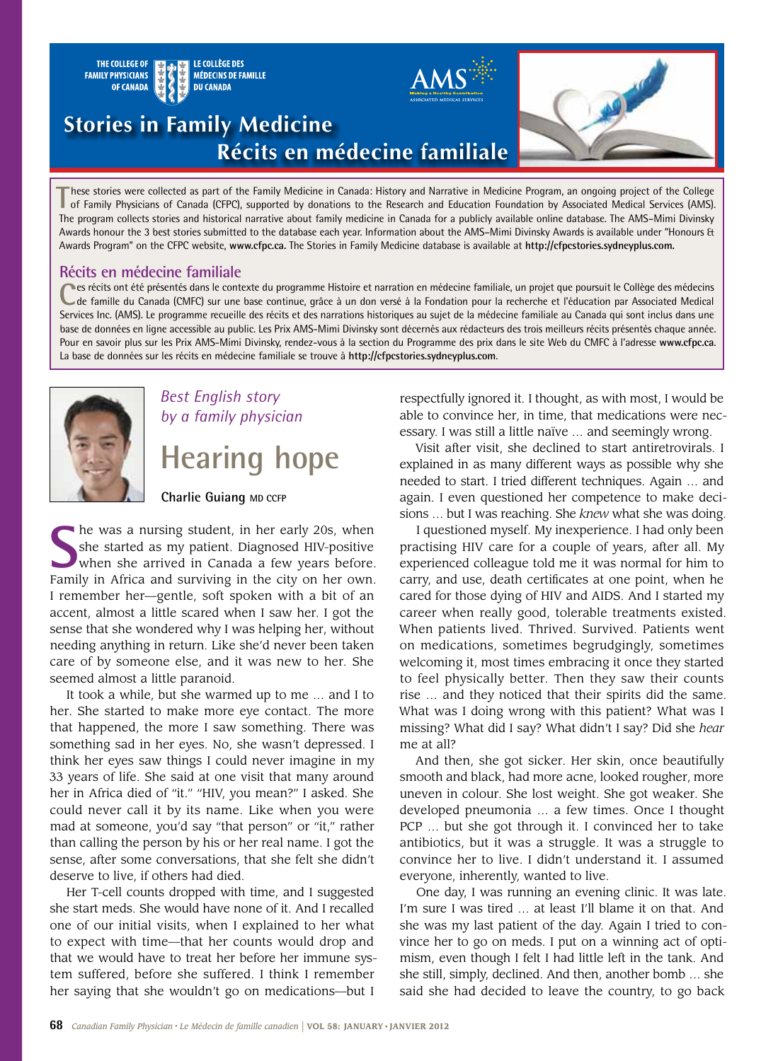

**T**hese stories were collected as part of the Family Medicine in Canada: History and Narrative in Medicine Program, an ongoing project of the College of Family Physicians of Canada (CFPC), supported by donations to the Research and Education Foundation by Associated Medical Services (AMS). The program collects stories and historical narrative about family medicine in Canada for a publicly available online database. The AMS–Mimi Divinsky Awards honour the 3 best stories submitted to the database each year. Information about the AMS–Mimi Divinsky Awards is available under "Honours & Awards Program" on the CFPC website, **www.cfpc.ca.** The Stories in Family Medicine database is available at **http://cfpcstories.sydneyplus.com.**

### **Récits en médecine familiale**

Ces récits ont été présentés dans le contexte du programme Histoire et narration en médecine familiale, un projet que poursuit le Collège des médecins de famille du Canada (CMFC) sur une base continue, grâce à un don versé Services Inc. (AMS). Le programme recueille des récits et des narrations historiques au sujet de la médecine familiale au Canada qui sont inclus dans une base de données en ligne accessible au public. Les Prix AMS-Mimi Divinsky sont décernés aux rédacteurs des trois meilleurs récits présentés chaque année. Pour en savoir plus sur les Prix AMS-Mimi Divinsky, rendez-vous à la section du Programme des prix dans le site Web du CMFC à l'adresse **www.cfpc.ca**. La base de données sur les récits en médecine familiale se trouve à **http://cfpcstories.sydneyplus.com**.



# *Best English story by a family physician* **Hearing hope**

**Charlie Guiang MD CCFP**

**S** he was a nursing student, in her early 20s, when she started as my patient. Diagnosed HIV-positive when she arrived in Canada a few years before. Family in Africa and surviving in the city on her own. I remember her—gentle, soft spoken with a bit of an accent, almost a little scared when I saw her. I got the sense that she wondered why I was helping her, without needing anything in return. Like she'd never been taken care of by someone else, and it was new to her. She seemed almost a little paranoid.

It took a while, but she warmed up to me … and I to her. She started to make more eye contact. The more that happened, the more I saw something. There was something sad in her eyes. No, she wasn't depressed. I think her eyes saw things I could never imagine in my 33 years of life. She said at one visit that many around her in Africa died of "it." "HIV, you mean?" I asked. She could never call it by its name. Like when you were mad at someone, you'd say "that person" or "it," rather than calling the person by his or her real name. I got the sense, after some conversations, that she felt she didn't deserve to live, if others had died.

Her T-cell counts dropped with time, and I suggested she start meds. She would have none of it. And I recalled one of our initial visits, when I explained to her what to expect with time—that her counts would drop and that we would have to treat her before her immune system suffered, before she suffered. I think I remember her saying that she wouldn't go on medications—but I

respectfully ignored it. I thought, as with most, I would be able to convince her, in time, that medications were necessary. I was still a little naïve … and seemingly wrong.

Visit after visit, she declined to start antiretrovirals. I explained in as many different ways as possible why she needed to start. I tried different techniques. Again … and again. I even questioned her competence to make decisions … but I was reaching. She *knew* what she was doing.

I questioned myself. My inexperience. I had only been practising HIV care for a couple of years, after all. My experienced colleague told me it was normal for him to carry, and use, death certificates at one point, when he cared for those dying of HIV and AIDS. And I started my career when really good, tolerable treatments existed. When patients lived. Thrived. Survived. Patients went on medications, sometimes begrudgingly, sometimes welcoming it, most times embracing it once they started to feel physically better. Then they saw their counts rise … and they noticed that their spirits did the same. What was I doing wrong with this patient? What was I missing? What did I say? What didn't I say? Did she *hear* me at all?

And then, she got sicker. Her skin, once beautifully smooth and black, had more acne, looked rougher, more uneven in colour. She lost weight. She got weaker. She developed pneumonia … a few times. Once I thought PCP … but she got through it. I convinced her to take antibiotics, but it was a struggle. It was a struggle to convince her to live. I didn't understand it. I assumed everyone, inherently, wanted to live.

One day, I was running an evening clinic. It was late. I'm sure I was tired … at least I'll blame it on that. And she was my last patient of the day. Again I tried to convince her to go on meds. I put on a winning act of optimism, even though I felt I had little left in the tank. And she still, simply, declined. And then, another bomb … she said she had decided to leave the country, to go back